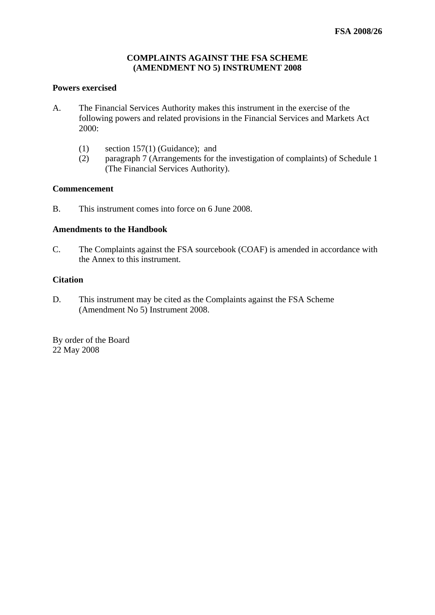## **COMPLAINTS AGAINST THE FSA SCHEME (AMENDMENT NO 5) INSTRUMENT 2008**

# **Powers exercised**

- A. The Financial Services Authority makes this instrument in the exercise of the following powers and related provisions in the Financial Services and Markets Act 2000:
	- (1) section 157(1) (Guidance); and
	- (2) paragraph 7 (Arrangements for the investigation of complaints) of Schedule 1 (The Financial Services Authority).

#### **Commencement**

B. This instrument comes into force on 6 June 2008.

#### **Amendments to the Handbook**

C. The Complaints against the FSA sourcebook (COAF) is amended in accordance with the Annex to this instrument.

#### **Citation**

D. This instrument may be cited as the Complaints against the FSA Scheme (Amendment No 5) Instrument 2008.

By order of the Board 22 May 2008